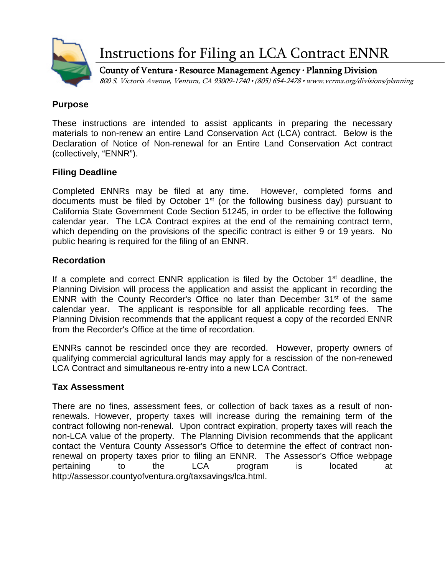

Instructions for Filing an LCA Contract ENNR

County of Ventura • Resource Management Agency • Planning Division 800 S. Victoria Avenue, Ventura, CA 93009-1740 • (805) 654-2478 • www.vcrma.org/divisions/planning

# **Purpose**

These instructions are intended to assist applicants in preparing the necessary materials to non-renew an entire Land Conservation Act (LCA) contract. Below is the Declaration of Notice of Non-renewal for an Entire Land Conservation Act contract (collectively, "ENNR").

# **Filing Deadline**

Completed ENNRs may be filed at any time. However, completed forms and documents must be filed by October 1st (or the following business day) pursuant to California State Government Code Section 51245, in order to be effective the following calendar year. The LCA Contract expires at the end of the remaining contract term, which depending on the provisions of the specific contract is either 9 or 19 years. No public hearing is required for the filing of an ENNR.

# **Recordation**

If a complete and correct ENNR application is filed by the October  $1<sup>st</sup>$  deadline, the Planning Division will process the application and assist the applicant in recording the ENNR with the County Recorder's Office no later than December 31<sup>st</sup> of the same calendar year. The applicant is responsible for all applicable recording fees. The Planning Division recommends that the applicant request a copy of the recorded ENNR from the Recorder's Office at the time of recordation.

ENNRs cannot be rescinded once they are recorded. However, property owners of qualifying commercial agricultural lands may apply for a rescission of the non-renewed LCA Contract and simultaneous re-entry into a new LCA Contract.

### **Tax Assessment**

There are no fines, assessment fees, or collection of back taxes as a result of nonrenewals. However, property taxes will increase during the remaining term of the contract following non-renewal. Upon contract expiration, property taxes will reach the non-LCA value of the property. The Planning Division recommends that the applicant contact the Ventura County Assessor's Office to determine the effect of contract nonrenewal on property taxes prior to filing an ENNR. The Assessor's Office webpage pertaining to the LCA program is located at http://assessor.countyofventura.org/taxsavings/lca.html.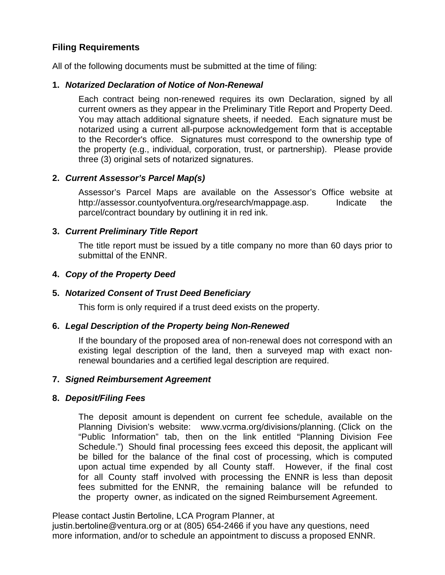# **Filing Requirements**

All of the following documents must be submitted at the time of filing:

### **1.** *Notarized Declaration of Notice of Non-Renewal*

Each contract being non-renewed requires its own Declaration, signed by all current owners as they appear in the Preliminary Title Report and Property Deed. You may attach additional signature sheets, if needed. Each signature must be notarized using a current all-purpose acknowledgement form that is acceptable to the Recorder's office. Signatures must correspond to the ownership type of the property (e.g., individual, corporation, trust, or partnership). Please provide three (3) original sets of notarized signatures.

# **2.** *Current Assessor's Parcel Map(s)*

Assessor's Parcel Maps are available on the Assessor's Office website at http://assessor.countyofventura.org/research/mappage.asp. Indicate the [parcel/contract boundary by outlining it in red ink.](http://assessor.countyofventura.org/research/mappage.asp) 

# **3.** *Current Preliminary Title Report*

The title report must be issued by a title company no more than 60 days prior to submittal of the ENNR.

# **4.** *Copy of the Property Deed*

### **5.** *Notarized Consent of Trust Deed Beneficiary*

This form is only required if a trust deed exists on the property.

### **6.** *Legal Description of the Property being Non-Renewed*

If the boundary of the proposed area of non-renewal does not correspond with an existing legal description of the land, then a surveyed map with exact nonrenewal boundaries and a certified legal description are required.

### **7.** *Signed Reimbursement Agreement*

### **8.** *Deposit/Filing Fees*

The deposit amount is dependent on current fee schedule, available on the Planning Division's website: www.vcrma.org/divisions/planning. (Click on the "Public Information" tab, the[n on the link entitled "P](http://www.ventura.org/planning)lanning Division Fee Schedule.") Should final processing fees exceed this deposit, the applicant will be billed for the balance of the final cost of processing, which is computed upon actual time expended by all County staff. However, if the final cost for all County staff involved with processing the ENNR is less than deposit fees submitted for the ENNR, the remaining balance will be refunded to the property owner, as indicated on the signed Reimbursement Agreement.

Please contact Justin Bertoline, LCA Program Planner, at

justin.bertoline@ventura.org or at (805) 654-2466 if you have any questions, need more information, and/or to schedule an appointment to discuss a proposed ENNR.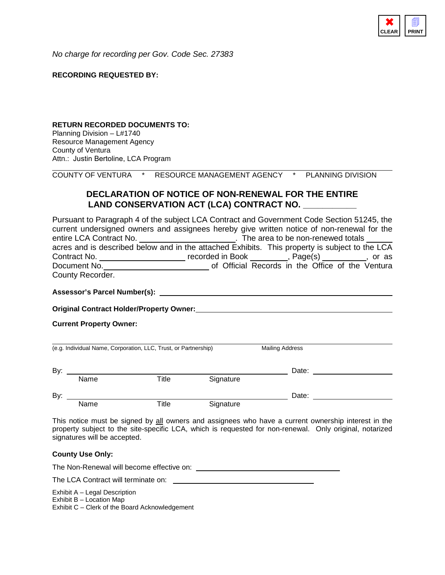

*No charge for recording per Gov. Code Sec. 27383*

#### **RECORDING REQUESTED BY:**

#### **RETURN RECORDED DOCUMENTS TO:**

Planning Division – L#1740 Resource Management Agency County of Ventura Attn.: Justin Bertoline, LCA Program

COUNTY OF VENTURA \* RESOURCE MANAGEMENT AGENCY \* PLANNING DIVISION

#### **DECLARATION OF NOTICE OF NON-RENEWAL FOR THE ENTIRE**  LAND CONSERVATION ACT (LCA) CONTRACT NO.

Pursuant to Paragraph 4 of the subject LCA Contract and Government Code Section 51245, the current undersigned owners and assignees hereby give written notice of non-renewal for the entire LCA Contract No. \_\_\_\_\_\_\_\_\_\_\_\_\_\_\_\_\_\_\_\_\_\_\_\_\_. The area to be non-renewed totals \_\_ acres and is described below and in the attached Exhibits. This property is subject to the LCA Contract No. \_\_\_\_\_\_\_\_\_\_\_\_\_\_\_\_\_\_\_\_\_\_\_ recorded in Book \_\_\_\_\_\_\_\_, Page(s) \_\_\_\_\_\_\_\_\_, or as Document No. <u>consume come contract</u> of Official Records in the Office of the Ventura County Recorder.

**Assessor's Parcel Number(s):**

**Original Contract Holder/Property Owner:**

**Current Property Owner:**

| (e.g. Individual Name, Corporation, LLC, Trust, or Partnership) |      |       |           | <b>Mailing Address</b> |  |
|-----------------------------------------------------------------|------|-------|-----------|------------------------|--|
| By:                                                             |      |       |           | Date:                  |  |
|                                                                 | Name | Title | Signature |                        |  |
| By:                                                             |      |       |           | Date:                  |  |
|                                                                 | Name | Title | Signature |                        |  |

This notice must be signed by all owners and assignees who have a current ownership interest in the property subject to the site-specific LCA, which is requested for non-renewal. Only original, notarized signatures will be accepted.

#### **County Use Only:**

The Non-Renewal will become effective on:

The LCA Contract will terminate on: \_\_\_\_

Exhibit A – Legal Description

Exhibit B – Location Map

Exhibit C – Clerk of the Board Acknowledgement